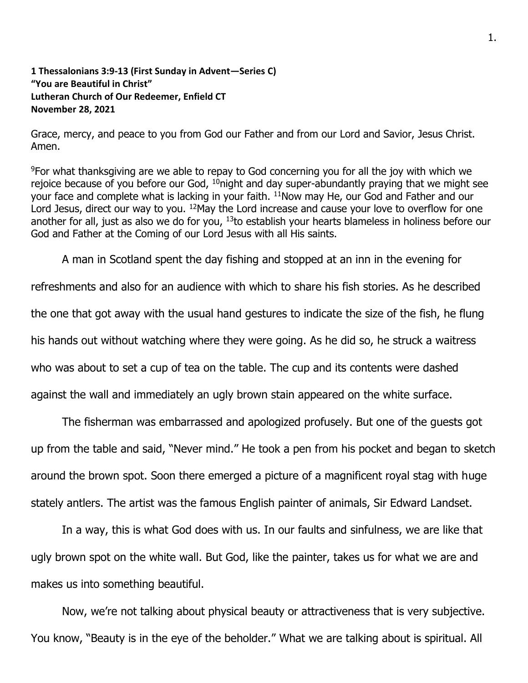## **1 Thessalonians 3:9-13 (First Sunday in Advent—Series C) "You are Beautiful in Christ" Lutheran Church of Our Redeemer, Enfield CT November 28, 2021**

Grace, mercy, and peace to you from God our Father and from our Lord and Savior, Jesus Christ. Amen.

<sup>9</sup>For what thanksgiving are we able to repay to God concerning you for all the joy with which we rejoice because of you before our God,  $10$ night and day super-abundantly praying that we might see your face and complete what is lacking in your faith. <sup>11</sup>Now may He, our God and Father and our Lord Jesus, direct our way to you. <sup>12</sup> May the Lord increase and cause your love to overflow for one another for all, just as also we do for you,  $13$  to establish your hearts blameless in holiness before our God and Father at the Coming of our Lord Jesus with all His saints.

A man in Scotland spent the day fishing and stopped at an inn in the evening for

refreshments and also for an audience with which to share his fish stories. As he described the one that got away with the usual hand gestures to indicate the size of the fish, he flung his hands out without watching where they were going. As he did so, he struck a waitress who was about to set a cup of tea on the table. The cup and its contents were dashed against the wall and immediately an ugly brown stain appeared on the white surface.

The fisherman was embarrassed and apologized profusely. But one of the guests got up from the table and said, "Never mind." He took a pen from his pocket and began to sketch around the brown spot. Soon there emerged a picture of a magnificent royal stag with huge stately antlers. The artist was the famous English painter of animals, Sir Edward Landset.

In a way, this is what God does with us. In our faults and sinfulness, we are like that ugly brown spot on the white wall. But God, like the painter, takes us for what we are and makes us into something beautiful.

Now, we're not talking about physical beauty or attractiveness that is very subjective. You know, "Beauty is in the eye of the beholder." What we are talking about is spiritual. All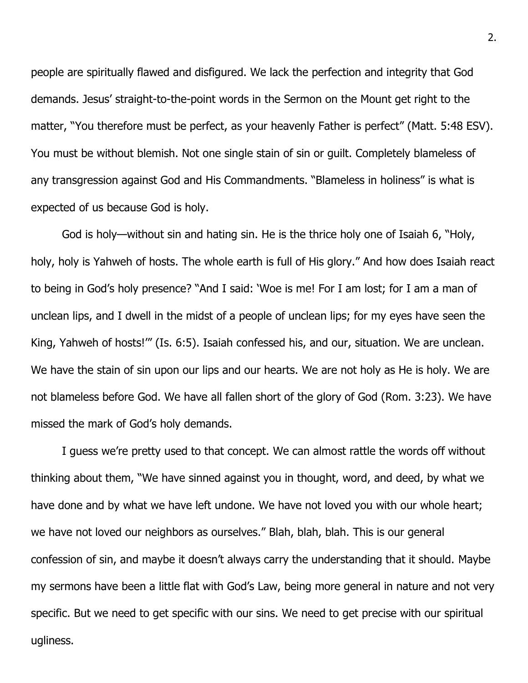people are spiritually flawed and disfigured. We lack the perfection and integrity that God demands. Jesus' straight-to-the-point words in the Sermon on the Mount get right to the matter, "You therefore must be perfect, as your heavenly Father is perfect" (Matt. 5:48 ESV). You must be without blemish. Not one single stain of sin or guilt. Completely blameless of any transgression against God and His Commandments. "Blameless in holiness" is what is expected of us because God is holy.

God is holy—without sin and hating sin. He is the thrice holy one of Isaiah 6, "Holy, holy, holy is Yahweh of hosts. The whole earth is full of His glory." And how does Isaiah react to being in God's holy presence? "And I said: 'Woe is me! For I am lost; for I am a man of unclean lips, and I dwell in the midst of a people of unclean lips; for my eyes have seen the King, Yahweh of hosts!'" (Is. 6:5). Isaiah confessed his, and our, situation. We are unclean. We have the stain of sin upon our lips and our hearts. We are not holy as He is holy. We are not blameless before God. We have all fallen short of the glory of God (Rom. 3:23). We have missed the mark of God's holy demands.

I guess we're pretty used to that concept. We can almost rattle the words off without thinking about them, "We have sinned against you in thought, word, and deed, by what we have done and by what we have left undone. We have not loved you with our whole heart; we have not loved our neighbors as ourselves." Blah, blah, blah. This is our general confession of sin, and maybe it doesn't always carry the understanding that it should. Maybe my sermons have been a little flat with God's Law, being more general in nature and not very specific. But we need to get specific with our sins. We need to get precise with our spiritual ugliness.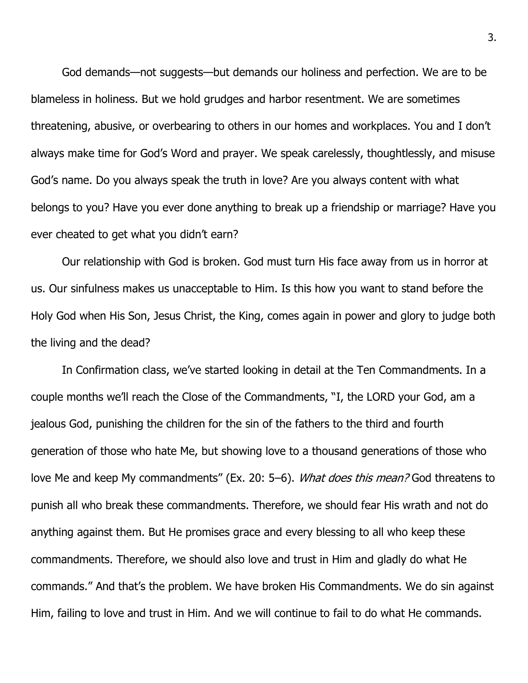God demands—not suggests—but demands our holiness and perfection. We are to be blameless in holiness. But we hold grudges and harbor resentment. We are sometimes threatening, abusive, or overbearing to others in our homes and workplaces. You and I don't always make time for God's Word and prayer. We speak carelessly, thoughtlessly, and misuse God's name. Do you always speak the truth in love? Are you always content with what belongs to you? Have you ever done anything to break up a friendship or marriage? Have you ever cheated to get what you didn't earn?

Our relationship with God is broken. God must turn His face away from us in horror at us. Our sinfulness makes us unacceptable to Him. Is this how you want to stand before the Holy God when His Son, Jesus Christ, the King, comes again in power and glory to judge both the living and the dead?

In Confirmation class, we've started looking in detail at the Ten Commandments. In a couple months we'll reach the Close of the Commandments, "I, the LORD your God, am a jealous God, punishing the children for the sin of the fathers to the third and fourth generation of those who hate Me, but showing love to a thousand generations of those who love Me and keep My commandments" (Ex. 20: 5–6). *What does this mean?* God threatens to punish all who break these commandments. Therefore, we should fear His wrath and not do anything against them. But He promises grace and every blessing to all who keep these commandments. Therefore, we should also love and trust in Him and gladly do what He commands." And that's the problem. We have broken His Commandments. We do sin against Him, failing to love and trust in Him. And we will continue to fail to do what He commands.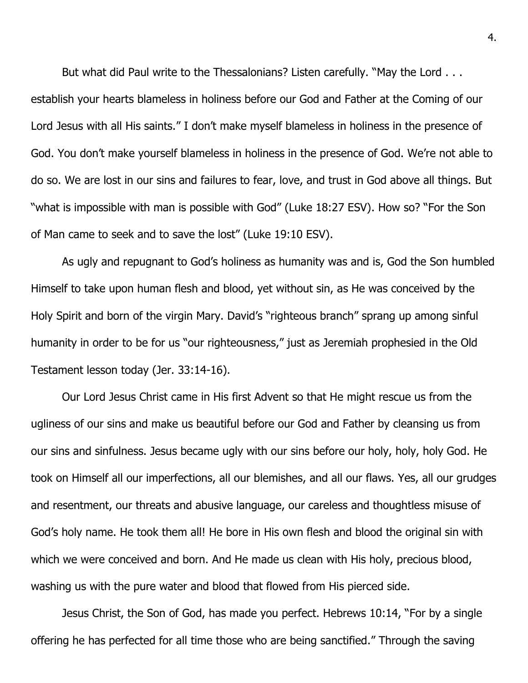But what did Paul write to the Thessalonians? Listen carefully. "May the Lord . . . establish your hearts blameless in holiness before our God and Father at the Coming of our Lord Jesus with all His saints." I don't make myself blameless in holiness in the presence of God. You don't make yourself blameless in holiness in the presence of God. We're not able to do so. We are lost in our sins and failures to fear, love, and trust in God above all things. But "what is impossible with man is possible with God" (Luke 18:27 ESV). How so? "For the Son of Man came to seek and to save the lost" (Luke 19:10 ESV).

As ugly and repugnant to God's holiness as humanity was and is, God the Son humbled Himself to take upon human flesh and blood, yet without sin, as He was conceived by the Holy Spirit and born of the virgin Mary. David's "righteous branch" sprang up among sinful humanity in order to be for us "our righteousness," just as Jeremiah prophesied in the Old Testament lesson today (Jer. 33:14-16).

Our Lord Jesus Christ came in His first Advent so that He might rescue us from the ugliness of our sins and make us beautiful before our God and Father by cleansing us from our sins and sinfulness. Jesus became ugly with our sins before our holy, holy, holy God. He took on Himself all our imperfections, all our blemishes, and all our flaws. Yes, all our grudges and resentment, our threats and abusive language, our careless and thoughtless misuse of God's holy name. He took them all! He bore in His own flesh and blood the original sin with which we were conceived and born. And He made us clean with His holy, precious blood, washing us with the pure water and blood that flowed from His pierced side.

Jesus Christ, the Son of God, has made you perfect. Hebrews 10:14, "For by a single offering he has perfected for all time those who are being sanctified." Through the saving